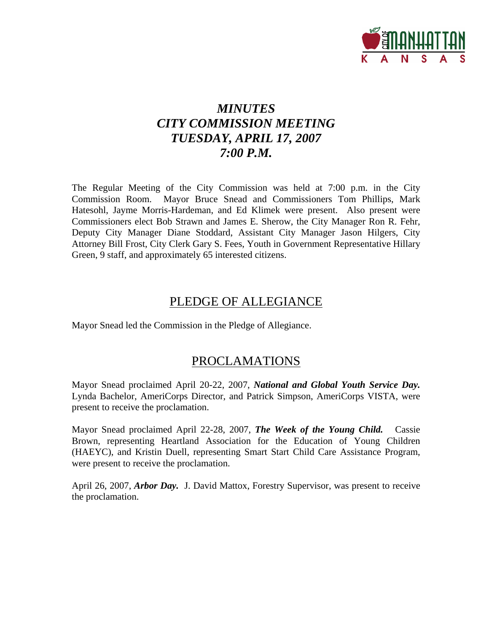

# *MINUTES CITY COMMISSION MEETING TUESDAY, APRIL 17, 2007 7:00 P.M.*

The Regular Meeting of the City Commission was held at 7:00 p.m. in the City Commission Room. Mayor Bruce Snead and Commissioners Tom Phillips, Mark Hatesohl, Jayme Morris-Hardeman, and Ed Klimek were present. Also present were Commissioners elect Bob Strawn and James E. Sherow, the City Manager Ron R. Fehr, Deputy City Manager Diane Stoddard, Assistant City Manager Jason Hilgers, City Attorney Bill Frost, City Clerk Gary S. Fees, Youth in Government Representative Hillary Green, 9 staff, and approximately 65 interested citizens.

## PLEDGE OF ALLEGIANCE

Mayor Snead led the Commission in the Pledge of Allegiance.

## PROCLAMATIONS

Mayor Snead proclaimed April 20-22, 2007, *National and Global Youth Service Day.*  Lynda Bachelor, AmeriCorps Director, and Patrick Simpson, AmeriCorps VISTA, were present to receive the proclamation.

Mayor Snead proclaimed April 22-28, 2007, *The Week of the Young Child.* Cassie Brown, representing Heartland Association for the Education of Young Children (HAEYC), and Kristin Duell, representing Smart Start Child Care Assistance Program, were present to receive the proclamation.

April 26, 2007, *Arbor Day.* J. David Mattox, Forestry Supervisor, was present to receive the proclamation.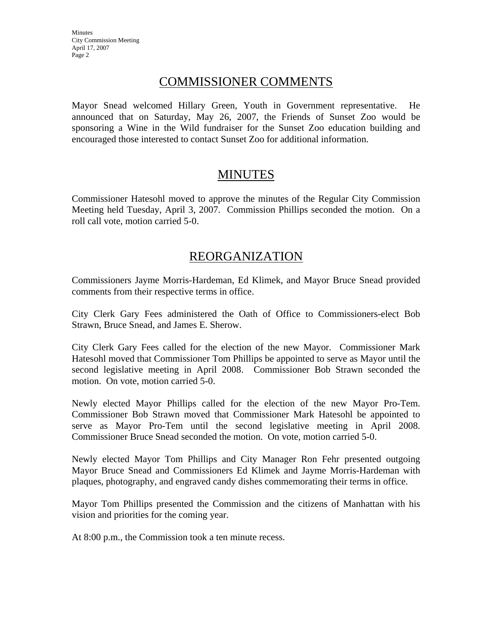**Minutes** City Commission Meeting April 17, 2007 Page 2

## COMMISSIONER COMMENTS

Mayor Snead welcomed Hillary Green, Youth in Government representative. He announced that on Saturday, May 26, 2007, the Friends of Sunset Zoo would be sponsoring a Wine in the Wild fundraiser for the Sunset Zoo education building and encouraged those interested to contact Sunset Zoo for additional information.

## MINUTES

Commissioner Hatesohl moved to approve the minutes of the Regular City Commission Meeting held Tuesday, April 3, 2007. Commission Phillips seconded the motion. On a roll call vote, motion carried 5-0.

## REORGANIZATION

Commissioners Jayme Morris-Hardeman, Ed Klimek, and Mayor Bruce Snead provided comments from their respective terms in office.

City Clerk Gary Fees administered the Oath of Office to Commissioners-elect Bob Strawn, Bruce Snead, and James E. Sherow.

City Clerk Gary Fees called for the election of the new Mayor. Commissioner Mark Hatesohl moved that Commissioner Tom Phillips be appointed to serve as Mayor until the second legislative meeting in April 2008. Commissioner Bob Strawn seconded the motion. On vote, motion carried 5-0.

Newly elected Mayor Phillips called for the election of the new Mayor Pro-Tem. Commissioner Bob Strawn moved that Commissioner Mark Hatesohl be appointed to serve as Mayor Pro-Tem until the second legislative meeting in April 2008. Commissioner Bruce Snead seconded the motion. On vote, motion carried 5-0.

Newly elected Mayor Tom Phillips and City Manager Ron Fehr presented outgoing Mayor Bruce Snead and Commissioners Ed Klimek and Jayme Morris-Hardeman with plaques, photography, and engraved candy dishes commemorating their terms in office.

Mayor Tom Phillips presented the Commission and the citizens of Manhattan with his vision and priorities for the coming year.

At 8:00 p.m., the Commission took a ten minute recess.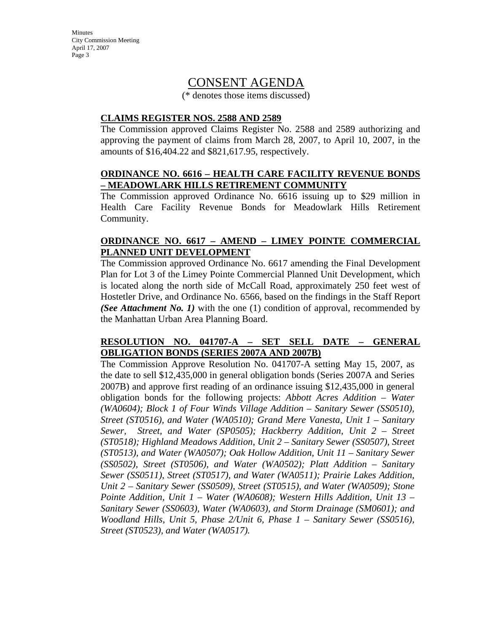Minutes City Commission Meeting April 17, 2007 Page 3

## CONSENT AGENDA

(\* denotes those items discussed)

#### **CLAIMS REGISTER NOS. 2588 AND 2589**

The Commission approved Claims Register No. 2588 and 2589 authorizing and approving the payment of claims from March 28, 2007, to April 10, 2007, in the amounts of \$16,404.22 and \$821,617.95, respectively.

#### **ORDINANCE NO. 6616 – HEALTH CARE FACILITY REVENUE BONDS – MEADOWLARK HILLS RETIREMENT COMMUNITY**

The Commission approved Ordinance No. 6616 issuing up to \$29 million in Health Care Facility Revenue Bonds for Meadowlark Hills Retirement Community.

### **ORDINANCE NO. 6617 – AMEND – LIMEY POINTE COMMERCIAL PLANNED UNIT DEVELOPMENT**

The Commission approved Ordinance No. 6617 amending the Final Development Plan for Lot 3 of the Limey Pointe Commercial Planned Unit Development, which is located along the north side of McCall Road, approximately 250 feet west of Hostetler Drive, and Ordinance No. 6566, based on the findings in the Staff Report *(See Attachment No. 1)* with the one (1) condition of approval, recommended by the Manhattan Urban Area Planning Board.

### **RESOLUTION NO. 041707-A – SET SELL DATE – GENERAL OBLIGATION BONDS (SERIES 2007A AND 2007B)**

The Commission Approve Resolution No. 041707-A setting May 15, 2007, as the date to sell \$12,435,000 in general obligation bonds (Series 2007A and Series 2007B) and approve first reading of an ordinance issuing \$12,435,000 in general obligation bonds for the following projects: *Abbott Acres Addition – Water (WA0604); Block 1 of Four Winds Village Addition – Sanitary Sewer (SS0510), Street (ST0516), and Water (WA0510); Grand Mere Vanesta, Unit 1 – Sanitary Sewer, Street, and Water (SP0505); Hackberry Addition, Unit 2 – Street (ST0518); Highland Meadows Addition, Unit 2 – Sanitary Sewer (SS0507), Street (ST0513), and Water (WA0507); Oak Hollow Addition, Unit 11 – Sanitary Sewer (SS0502), Street (ST0506), and Water (WA0502); Platt Addition – Sanitary Sewer (SS0511), Street (ST0517), and Water (WA0511); Prairie Lakes Addition, Unit 2 – Sanitary Sewer (SS0509), Street (ST0515), and Water (WA0509); Stone Pointe Addition, Unit 1 – Water (WA0608); Western Hills Addition, Unit 13 – Sanitary Sewer (SS0603), Water (WA0603), and Storm Drainage (SM0601); and Woodland Hills, Unit 5, Phase 2/Unit 6, Phase 1 – Sanitary Sewer (SS0516), Street (ST0523), and Water (WA0517).*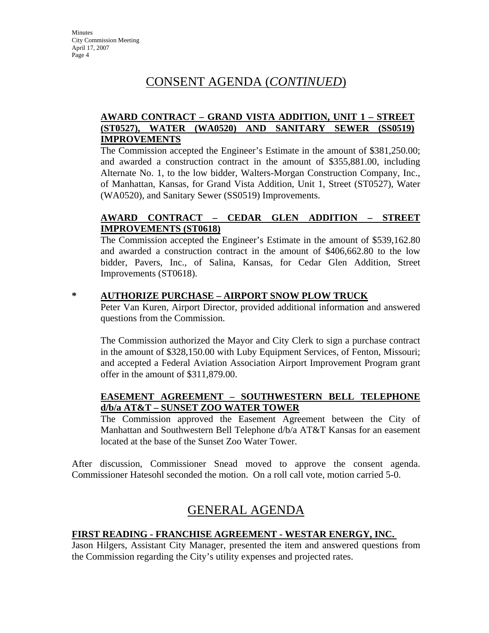## CONSENT AGENDA (*CONTINUED*)

## **AWARD CONTRACT – GRAND VISTA ADDITION, UNIT 1 – STREET (ST0527), WATER (WA0520) AND SANITARY SEWER (SS0519) IMPROVEMENTS**

The Commission accepted the Engineer's Estimate in the amount of \$381,250.00; and awarded a construction contract in the amount of \$355,881.00, including Alternate No. 1, to the low bidder, Walters-Morgan Construction Company, Inc., of Manhattan, Kansas, for Grand Vista Addition, Unit 1, Street (ST0527), Water (WA0520), and Sanitary Sewer (SS0519) Improvements.

## **AWARD CONTRACT – CEDAR GLEN ADDITION – STREET IMPROVEMENTS (ST0618)**

The Commission accepted the Engineer's Estimate in the amount of \$539,162.80 and awarded a construction contract in the amount of \$406,662.80 to the low bidder, Pavers, Inc., of Salina, Kansas, for Cedar Glen Addition, Street Improvements (ST0618).

#### **\* AUTHORIZE PURCHASE – AIRPORT SNOW PLOW TRUCK**

Peter Van Kuren, Airport Director, provided additional information and answered questions from the Commission.

The Commission authorized the Mayor and City Clerk to sign a purchase contract in the amount of \$328,150.00 with Luby Equipment Services, of Fenton, Missouri; and accepted a Federal Aviation Association Airport Improvement Program grant offer in the amount of \$311,879.00.

### **EASEMENT AGREEMENT – SOUTHWESTERN BELL TELEPHONE d/b/a AT&T – SUNSET ZOO WATER TOWER**

The Commission approved the Easement Agreement between the City of Manhattan and Southwestern Bell Telephone d/b/a AT&T Kansas for an easement located at the base of the Sunset Zoo Water Tower.

After discussion, Commissioner Snead moved to approve the consent agenda. Commissioner Hatesohl seconded the motion. On a roll call vote, motion carried 5-0.

## GENERAL AGENDA

### **FIRST READING - FRANCHISE AGREEMENT - WESTAR ENERGY, INC.**

Jason Hilgers, Assistant City Manager, presented the item and answered questions from the Commission regarding the City's utility expenses and projected rates.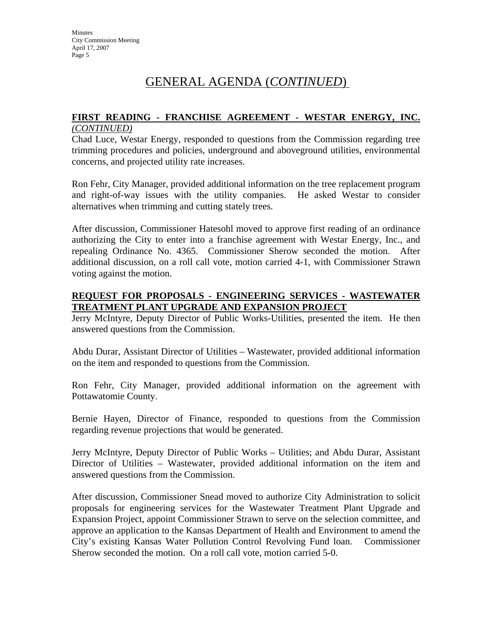## GENERAL AGENDA (*CONTINUED*)

#### **FIRST READING - FRANCHISE AGREEMENT - WESTAR ENERGY, INC.**  *(CONTINUED)*

Chad Luce, Westar Energy, responded to questions from the Commission regarding tree trimming procedures and policies, underground and aboveground utilities, environmental concerns, and projected utility rate increases.

Ron Fehr, City Manager, provided additional information on the tree replacement program and right-of-way issues with the utility companies. He asked Westar to consider alternatives when trimming and cutting stately trees.

After discussion, Commissioner Hatesohl moved to approve first reading of an ordinance authorizing the City to enter into a franchise agreement with Westar Energy, Inc., and repealing Ordinance No. 4365. Commissioner Sherow seconded the motion. After additional discussion, on a roll call vote, motion carried 4-1, with Commissioner Strawn voting against the motion.

### **REQUEST FOR PROPOSALS - ENGINEERING SERVICES - WASTEWATER TREATMENT PLANT UPGRADE AND EXPANSION PROJECT**

Jerry McIntyre, Deputy Director of Public Works-Utilities, presented the item. He then answered questions from the Commission.

Abdu Durar, Assistant Director of Utilities – Wastewater, provided additional information on the item and responded to questions from the Commission.

Ron Fehr, City Manager, provided additional information on the agreement with Pottawatomie County.

Bernie Hayen, Director of Finance, responded to questions from the Commission regarding revenue projections that would be generated.

Jerry McIntyre, Deputy Director of Public Works – Utilities; and Abdu Durar, Assistant Director of Utilities – Wastewater, provided additional information on the item and answered questions from the Commission.

After discussion, Commissioner Snead moved to authorize City Administration to solicit proposals for engineering services for the Wastewater Treatment Plant Upgrade and Expansion Project, appoint Commissioner Strawn to serve on the selection committee, and approve an application to the Kansas Department of Health and Environment to amend the City's existing Kansas Water Pollution Control Revolving Fund loan. Commissioner Sherow seconded the motion. On a roll call vote, motion carried 5-0.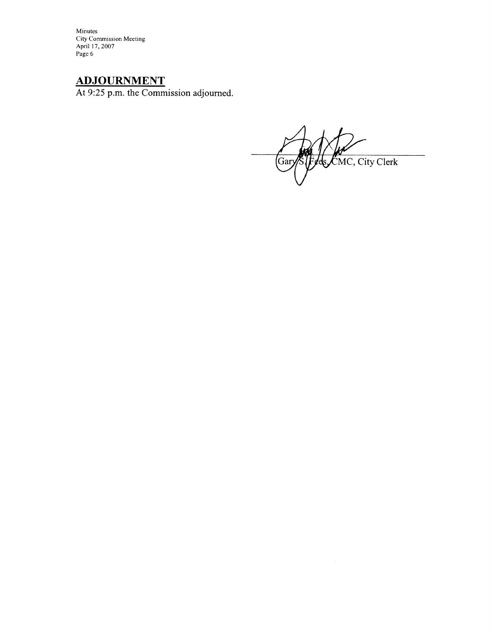Minutes City Commission Meeting<br>April 17, 2007 Page 6

# **ADJOURNMENT**

At 9:25 p.m. the Commission adjourned.

ds CMC, City Clerk (Gar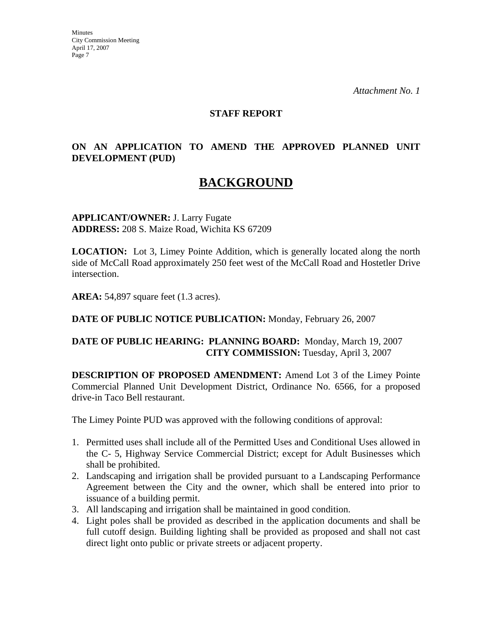*Attachment No. 1* 

#### **STAFF REPORT**

## **ON AN APPLICATION TO AMEND THE APPROVED PLANNED UNIT DEVELOPMENT (PUD)**

## **BACKGROUND**

**APPLICANT/OWNER:** J. Larry Fugate **ADDRESS:** 208 S. Maize Road, Wichita KS 67209

**LOCATION:** Lot 3, Limey Pointe Addition, which is generally located along the north side of McCall Road approximately 250 feet west of the McCall Road and Hostetler Drive intersection.

**AREA:** 54,897 square feet (1.3 acres).

**DATE OF PUBLIC NOTICE PUBLICATION:** Monday, February 26, 2007

### **DATE OF PUBLIC HEARING: PLANNING BOARD:** Monday, March 19, 2007 **CITY COMMISSION:** Tuesday, April 3, 2007

**DESCRIPTION OF PROPOSED AMENDMENT:** Amend Lot 3 of the Limey Pointe Commercial Planned Unit Development District, Ordinance No. 6566, for a proposed drive-in Taco Bell restaurant.

The Limey Pointe PUD was approved with the following conditions of approval:

- 1. Permitted uses shall include all of the Permitted Uses and Conditional Uses allowed in the C- 5, Highway Service Commercial District; except for Adult Businesses which shall be prohibited.
- 2. Landscaping and irrigation shall be provided pursuant to a Landscaping Performance Agreement between the City and the owner, which shall be entered into prior to issuance of a building permit.
- 3. All landscaping and irrigation shall be maintained in good condition.
- 4. Light poles shall be provided as described in the application documents and shall be full cutoff design. Building lighting shall be provided as proposed and shall not cast direct light onto public or private streets or adjacent property.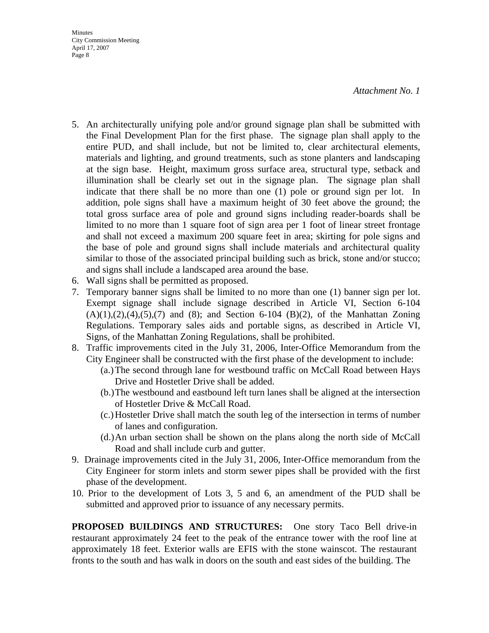*Attachment No. 1* 

- **Minutes** City Commission Meeting April 17, 2007 Page 8
- 5. An architecturally unifying pole and/or ground signage plan shall be submitted with the Final Development Plan for the first phase. The signage plan shall apply to the entire PUD, and shall include, but not be limited to, clear architectural elements, materials and lighting, and ground treatments, such as stone planters and landscaping at the sign base. Height, maximum gross surface area, structural type, setback and illumination shall be clearly set out in the signage plan. The signage plan shall indicate that there shall be no more than one (1) pole or ground sign per lot. In addition, pole signs shall have a maximum height of 30 feet above the ground; the total gross surface area of pole and ground signs including reader-boards shall be limited to no more than 1 square foot of sign area per 1 foot of linear street frontage and shall not exceed a maximum 200 square feet in area; skirting for pole signs and the base of pole and ground signs shall include materials and architectural quality similar to those of the associated principal building such as brick, stone and/or stucco; and signs shall include a landscaped area around the base.
- 6. Wall signs shall be permitted as proposed.
- 7. Temporary banner signs shall be limited to no more than one (1) banner sign per lot. Exempt signage shall include signage described in Article VI, Section 6-104  $(A)(1),(2),(4),(5),(7)$  and  $(8)$ ; and Section 6-104  $(B)(2)$ , of the Manhattan Zoning Regulations. Temporary sales aids and portable signs, as described in Article VI, Signs, of the Manhattan Zoning Regulations, shall be prohibited.
- 8. Traffic improvements cited in the July 31, 2006, Inter-Office Memorandum from the City Engineer shall be constructed with the first phase of the development to include:
	- (a.) The second through lane for westbound traffic on McCall Road between Hays Drive and Hostetler Drive shall be added.
	- (b.) The westbound and eastbound left turn lanes shall be aligned at the intersection of Hostetler Drive & McCall Road.
	- (c.) Hostetler Drive shall match the south leg of the intersection in terms of number of lanes and configuration.
	- (d.) An urban section shall be shown on the plans along the north side of McCall Road and shall include curb and gutter.
- 9. Drainage improvements cited in the July 31, 2006, Inter-Office memorandum from the City Engineer for storm inlets and storm sewer pipes shall be provided with the first phase of the development.
- 10. Prior to the development of Lots 3, 5 and 6, an amendment of the PUD shall be submitted and approved prior to issuance of any necessary permits.

**PROPOSED BUILDINGS AND STRUCTURES:** One story Taco Bell drive-in restaurant approximately 24 feet to the peak of the entrance tower with the roof line at approximately 18 feet. Exterior walls are EFIS with the stone wainscot. The restaurant fronts to the south and has walk in doors on the south and east sides of the building. The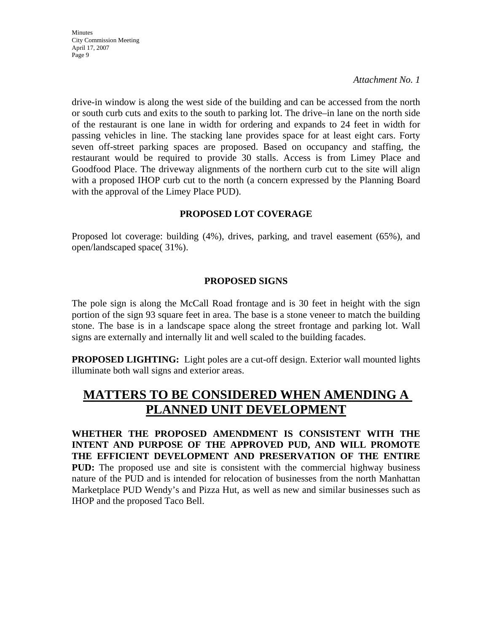Minutes City Commission Meeting April 17, 2007 Page 9

*Attachment No. 1* 

drive-in window is along the west side of the building and can be accessed from the north or south curb cuts and exits to the south to parking lot. The drive–in lane on the north side of the restaurant is one lane in width for ordering and expands to 24 feet in width for passing vehicles in line. The stacking lane provides space for at least eight cars. Forty seven off-street parking spaces are proposed. Based on occupancy and staffing, the restaurant would be required to provide 30 stalls. Access is from Limey Place and Goodfood Place. The driveway alignments of the northern curb cut to the site will align with a proposed IHOP curb cut to the north (a concern expressed by the Planning Board with the approval of the Limey Place PUD).

### **PROPOSED LOT COVERAGE**

Proposed lot coverage: building (4%), drives, parking, and travel easement (65%), and open/landscaped space( 31%).

### **PROPOSED SIGNS**

The pole sign is along the McCall Road frontage and is 30 feet in height with the sign portion of the sign 93 square feet in area. The base is a stone veneer to match the building stone. The base is in a landscape space along the street frontage and parking lot. Wall signs are externally and internally lit and well scaled to the building facades.

**PROPOSED LIGHTING:** Light poles are a cut-off design. Exterior wall mounted lights illuminate both wall signs and exterior areas.

# **MATTERS TO BE CONSIDERED WHEN AMENDING A PLANNED UNIT DEVELOPMENT**

**WHETHER THE PROPOSED AMENDMENT IS CONSISTENT WITH THE INTENT AND PURPOSE OF THE APPROVED PUD, AND WILL PROMOTE THE EFFICIENT DEVELOPMENT AND PRESERVATION OF THE ENTIRE PUD:** The proposed use and site is consistent with the commercial highway business nature of the PUD and is intended for relocation of businesses from the north Manhattan Marketplace PUD Wendy's and Pizza Hut, as well as new and similar businesses such as IHOP and the proposed Taco Bell.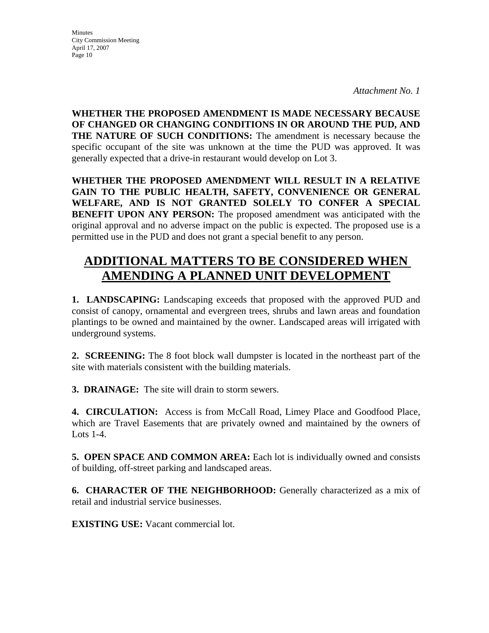**Minutes** City Commission Meeting April 17, 2007 Page 10

*Attachment No. 1* 

**WHETHER THE PROPOSED AMENDMENT IS MADE NECESSARY BECAUSE OF CHANGED OR CHANGING CONDITIONS IN OR AROUND THE PUD, AND THE NATURE OF SUCH CONDITIONS:** The amendment is necessary because the specific occupant of the site was unknown at the time the PUD was approved. It was generally expected that a drive-in restaurant would develop on Lot 3.

**WHETHER THE PROPOSED AMENDMENT WILL RESULT IN A RELATIVE GAIN TO THE PUBLIC HEALTH, SAFETY, CONVENIENCE OR GENERAL WELFARE, AND IS NOT GRANTED SOLELY TO CONFER A SPECIAL BENEFIT UPON ANY PERSON:** The proposed amendment was anticipated with the original approval and no adverse impact on the public is expected. The proposed use is a permitted use in the PUD and does not grant a special benefit to any person.

# **ADDITIONAL MATTERS TO BE CONSIDERED WHEN AMENDING A PLANNED UNIT DEVELOPMENT**

**1. LANDSCAPING:** Landscaping exceeds that proposed with the approved PUD and consist of canopy, ornamental and evergreen trees, shrubs and lawn areas and foundation plantings to be owned and maintained by the owner. Landscaped areas will irrigated with underground systems.

**2. SCREENING:** The 8 foot block wall dumpster is located in the northeast part of the site with materials consistent with the building materials.

**3. DRAINAGE:** The site will drain to storm sewers.

**4. CIRCULATION:** Access is from McCall Road, Limey Place and Goodfood Place, which are Travel Easements that are privately owned and maintained by the owners of Lots 1-4.

**5. OPEN SPACE AND COMMON AREA:** Each lot is individually owned and consists of building, off-street parking and landscaped areas.

**6. CHARACTER OF THE NEIGHBORHOOD:** Generally characterized as a mix of retail and industrial service businesses.

**EXISTING USE:** Vacant commercial lot.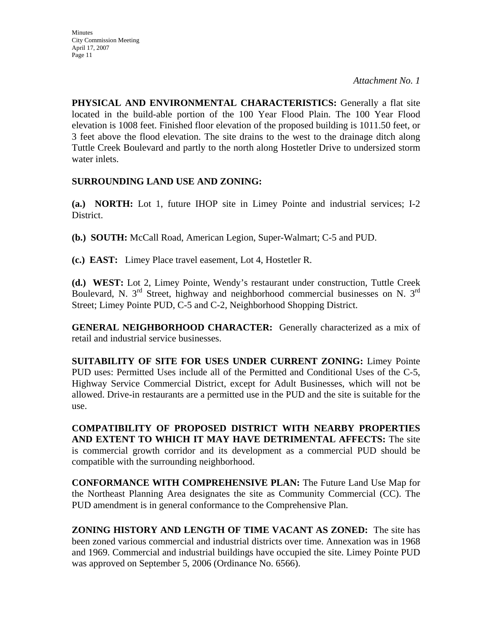*Attachment No. 1* 

**PHYSICAL AND ENVIRONMENTAL CHARACTERISTICS:** Generally a flat site located in the build-able portion of the 100 Year Flood Plain. The 100 Year Flood elevation is 1008 feet. Finished floor elevation of the proposed building is 1011.50 feet, or 3 feet above the flood elevation. The site drains to the west to the drainage ditch along Tuttle Creek Boulevard and partly to the north along Hostetler Drive to undersized storm water inlets.

## **SURROUNDING LAND USE AND ZONING:**

**(a.) NORTH:** Lot 1, future IHOP site in Limey Pointe and industrial services; I-2 District.

**(b.) SOUTH:** McCall Road, American Legion, Super-Walmart; C-5 and PUD.

**(c.) EAST:** Limey Place travel easement, Lot 4, Hostetler R.

**(d.) WEST:** Lot 2, Limey Pointe, Wendy's restaurant under construction, Tuttle Creek Boulevard, N. 3rd Street, highway and neighborhood commercial businesses on N. 3rd Street; Limey Pointe PUD, C-5 and C-2, Neighborhood Shopping District.

**GENERAL NEIGHBORHOOD CHARACTER:** Generally characterized as a mix of retail and industrial service businesses.

**SUITABILITY OF SITE FOR USES UNDER CURRENT ZONING:** Limey Pointe PUD uses: Permitted Uses include all of the Permitted and Conditional Uses of the C-5, Highway Service Commercial District, except for Adult Businesses, which will not be allowed. Drive-in restaurants are a permitted use in the PUD and the site is suitable for the use.

**COMPATIBILITY OF PROPOSED DISTRICT WITH NEARBY PROPERTIES AND EXTENT TO WHICH IT MAY HAVE DETRIMENTAL AFFECTS:** The site is commercial growth corridor and its development as a commercial PUD should be compatible with the surrounding neighborhood.

**CONFORMANCE WITH COMPREHENSIVE PLAN:** The Future Land Use Map for the Northeast Planning Area designates the site as Community Commercial (CC). The PUD amendment is in general conformance to the Comprehensive Plan.

**ZONING HISTORY AND LENGTH OF TIME VACANT AS ZONED:** The site has been zoned various commercial and industrial districts over time. Annexation was in 1968 and 1969. Commercial and industrial buildings have occupied the site. Limey Pointe PUD was approved on September 5, 2006 (Ordinance No. 6566).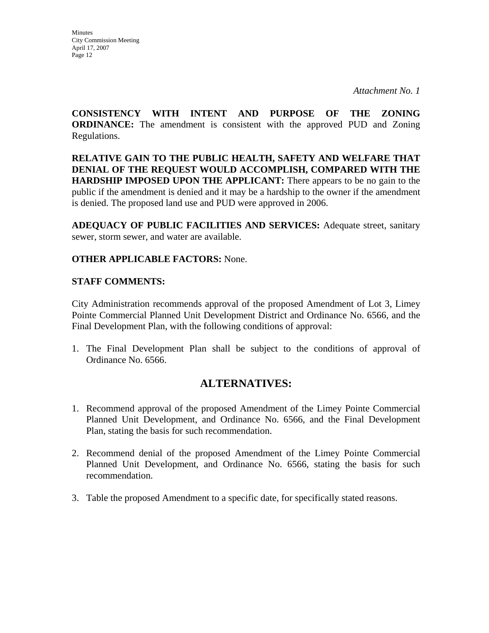**Minutes** City Commission Meeting April 17, 2007 Page 12

*Attachment No. 1* 

**CONSISTENCY WITH INTENT AND PURPOSE OF THE ZONING ORDINANCE:** The amendment is consistent with the approved PUD and Zoning Regulations.

**RELATIVE GAIN TO THE PUBLIC HEALTH, SAFETY AND WELFARE THAT DENIAL OF THE REQUEST WOULD ACCOMPLISH, COMPARED WITH THE HARDSHIP IMPOSED UPON THE APPLICANT:** There appears to be no gain to the public if the amendment is denied and it may be a hardship to the owner if the amendment is denied. The proposed land use and PUD were approved in 2006.

**ADEQUACY OF PUBLIC FACILITIES AND SERVICES:** Adequate street, sanitary sewer, storm sewer, and water are available.

## **OTHER APPLICABLE FACTORS:** None.

#### **STAFF COMMENTS:**

City Administration recommends approval of the proposed Amendment of Lot 3, Limey Pointe Commercial Planned Unit Development District and Ordinance No. 6566, and the Final Development Plan, with the following conditions of approval:

1. The Final Development Plan shall be subject to the conditions of approval of Ordinance No. 6566.

## **ALTERNATIVES:**

- 1. Recommend approval of the proposed Amendment of the Limey Pointe Commercial Planned Unit Development, and Ordinance No. 6566, and the Final Development Plan, stating the basis for such recommendation.
- 2. Recommend denial of the proposed Amendment of the Limey Pointe Commercial Planned Unit Development, and Ordinance No. 6566, stating the basis for such recommendation.
- 3. Table the proposed Amendment to a specific date, for specifically stated reasons.